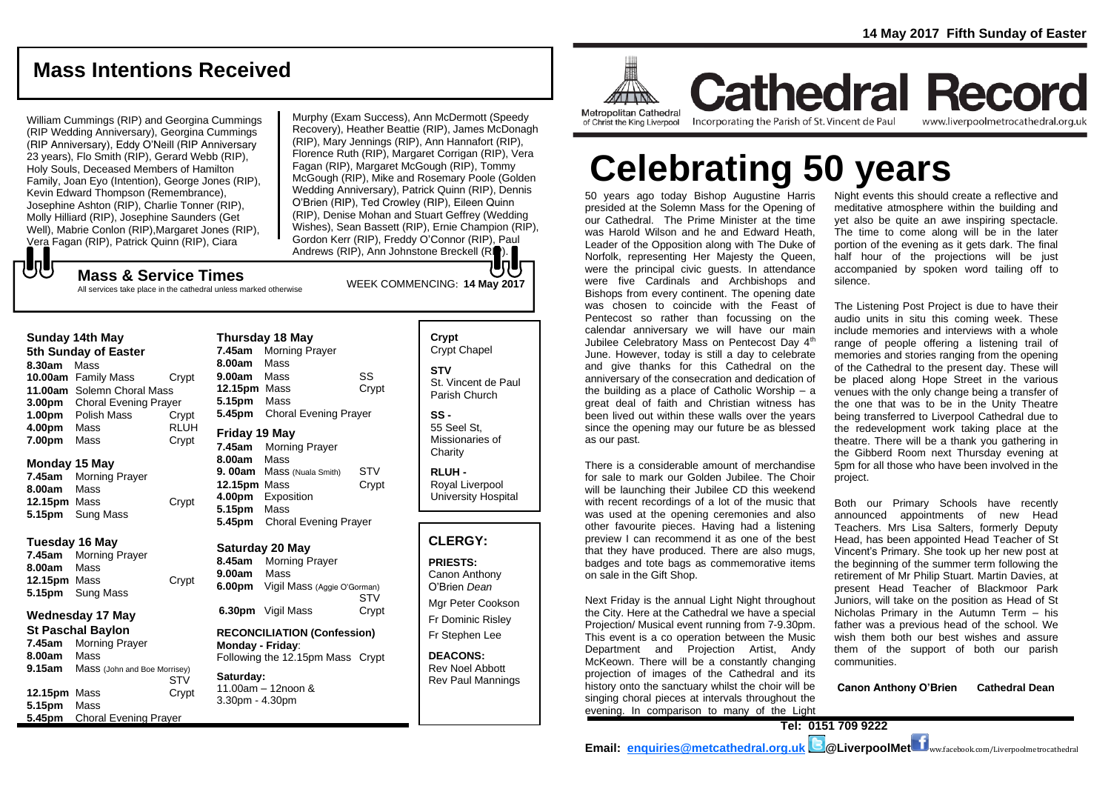# **Mass Intentions Received**

William Cummings (RIP) and Georgina Cummings (RIP Wedding Anniversary), Georgina Cummings (RIP Anniversary), Eddy O'Neill (RIP Anniversary 23 years), Flo Smith (RIP), Gerard Webb (RIP), Holy Souls, Deceased Members of Hamilton Family, Joan Eyo (Intention), George Jones (RIP), Kevin Edward Thompson (Remembrance), Josephine Ashton (RIP), Charlie Tonner (RIP), Molly Hilliard (RIP), Josephine Saunders (Get Well), Mabrie Conlon (RIP),Margaret Jones (RIP), Vera Fagan (RIP), Patrick Quinn (RIP), Ciara

Murphy (Exam Success), Ann McDermott (Speedy Recovery), Heather Beattie (RIP), James McDonagh (RIP), Mary Jennings (RIP), Ann Hannafort (RIP), Florence Ruth (RIP), Margaret Corrigan (RIP), Vera Fagan (RIP), Margaret McGough (RIP), Tommy McGough (RIP), Mike and Rosemary Poole (Golden Wedding Anniversary), Patrick Quinn (RIP), Dennis O'Brien (RIP), Ted Crowley (RIP), Eileen Quinn (RIP), Denise Mohan and Stuart Geffrey (Wedding Wishes), Sean Bassett (RIP), Ernie Champion (RIP), Gordon Kerr (RIP), Freddy O'Connor (RIP), Paul Andrews (RIP), Ann Johnstone Breckell (RIP).

# もし WEEK COMMENCING: **14 May 2017 Mass & Service Times**

All services take place in the cathedral unless marked otherwise

| 5th Sunday of Easter |                              |             |  |
|----------------------|------------------------------|-------------|--|
| 8.30am               | Mass                         |             |  |
|                      | 10.00am Family Mass          | Crypt       |  |
|                      | 11.00am Solemn Choral Mass   |             |  |
| 3.00 <sub>pm</sub>   | <b>Choral Evening Prayer</b> |             |  |
| 1.00 <sub>pm</sub>   | Polish Mass                  | Crypt       |  |
| 4.00pm               | Mass                         | <b>RLUH</b> |  |
| 7.00pm               | Mass                         | Crypt       |  |

#### **Monday 15 May**

**7.45am** Morning Prayer **8.00am** Mass **12.15pm** Mass Crypt **5.15pm** Sung Mass

#### **Tuesday 16 May**

**7.45am** Morning Prayer **8.00am** Mass **12.15pm** Mass Crypt **5.15pm** Sung Mass

# **Wednesday 17 May**

**St Paschal Baylon 7.45am** Morning Prayer **8.00am** Mass **9.15am** Mass (John and Boe Morrisey) **STV 12.15pm** Mass **Crypt 5.15pm** Mass **5.45pm** Choral Evening Prayer

| Thursday 18 May     |                              |       |  |
|---------------------|------------------------------|-------|--|
| 7.45am              | <b>Morning Prayer</b>        |       |  |
| 8.00am              | Mass                         |       |  |
| 9.00am              | Mass                         | SS    |  |
| <b>12.15pm</b> Mass |                              | Crypt |  |
| 5.15pm              | Mass                         |       |  |
| 5.45pm              | <b>Choral Evening Prayer</b> |       |  |
| Friday 19 May       |                              |       |  |
|                     |                              |       |  |
| 7.45am              | Morning Prayer               |       |  |
| 8.00am              | Mass                         |       |  |
| 9.00am              | Mass (Nuala Smith)           | STV   |  |
| 12.15pm             | Mass                         | Crypt |  |
| 4.00pm              | Exposition                   |       |  |
| 5.15pm              | Mass                         |       |  |

**Saturday 20 May 8.45am** Morning Prayer **9.00am** Mass **6.00pm** Vigil Mass (Aggie O'Gorman) **STV 6.30pm** Vigil Mass Crypt

**RECONCILIATION (Confession) Monday - Friday**: Following the 12.15pm Mass Crypt

#### **Saturday:** 11.00am – 12noon & 3.30pm - 4.30pm

**Crypt**  Crypt Chapel **STV** St. Vincent de Paul Parish Church **SS -** 55 Seel St, Missionaries of

> **Charity RLUH -** Royal Liverpool University Hospital

# **CLERGY:**

**PRIESTS:** Canon Anthony O'Brien *Dean* Mgr Peter Cookson Fr Dominic Risley

Fr Stephen Lee

**DEACONS:** Rev Noel Abbott Rev Paul Mannings



**Cathedral Record** Incorporating the Parish of St. Vincent de Paul of Christ the King Liverpool

www.liverpoolmetrocathedral.org.uk

# **Celebrating 50 years**

50 years ago today Bishop Augustine Harris presided at the Solemn Mass for the Opening of our Cathedral. The Prime Minister at the time was Harold Wilson and he and Edward Heath, Leader of the Opposition along with The Duke of Norfolk, representing Her Majesty the Queen, were the principal civic quests. In attendance were five Cardinals and Archbishops and Bishops from every continent. The opening date was chosen to coincide with the Feast of Pentecost so rather than focussing on the calendar anniversary we will have our main Jubilee Celebratory Mass on Pentecost Day 4<sup>th</sup> June. However, today is still a day to celebrate and give thanks for this Cathedral on the anniversary of the consecration and dedication of the building as a place of Catholic Worship – a great deal of faith and Christian witness has been lived out within these walls over the years since the opening may our future be as blessed as our past.

There is a considerable amount of merchandise for sale to mark our Golden Jubilee. The Choir will be launching their Jubilee CD this weekend with recent recordings of a lot of the music that was used at the opening ceremonies and also other favourite pieces. Having had a listening preview I can recommend it as one of the best that they have produced. There are also mugs, badges and tote bags as commemorative items on sale in the Gift Shop.

Next Friday is the annual Light Night throughout the City. Here at the Cathedral we have a special Projection/ Musical event running from 7-9.30pm. This event is a co operation between the Music Department and Projection Artist, Andy McKeown. There will be a constantly changing projection of images of the Cathedral and its history onto the sanctuary whilst the choir will be singing choral pieces at intervals throughout the evening. In comparison to many of the Light

Night events this should create a reflective and meditative atmosphere within the building and yet also be quite an awe inspiring spectacle. The time to come along will be in the later portion of the evening as it gets dark. The final half hour of the projections will be just accompanied by spoken word tailing off to silence.

The Listening Post Project is due to have their audio units in situ this coming week. These include memories and interviews with a whole range of people offering a listening trail of memories and stories ranging from the opening of the Cathedral to the present day. These will be placed along Hope Street in the various venues with the only change being a transfer of the one that was to be in the Unity Theatre being transferred to Liverpool Cathedral due to the redevelopment work taking place at the theatre. There will be a thank you gathering in the Gibberd Room next Thursday evening at 5pm for all those who have been involved in the project.

Both our Primary Schools have recently announced appointments of new Head Teachers. Mrs Lisa Salters, formerly Deputy Head, has been appointed Head Teacher of St Vincent's Primary. She took up her new post at the beginning of the summer term following the retirement of Mr Philip Stuart. Martin Davies, at present Head Teacher of Blackmoor Park Juniors, will take on the position as Head of St Nicholas Primary in the Autumn Term – his father was a previous head of the school. We wish them both our best wishes and assure them of the support of both our parish communities.

**Canon Anthony O'Brien Cathedral Dean**